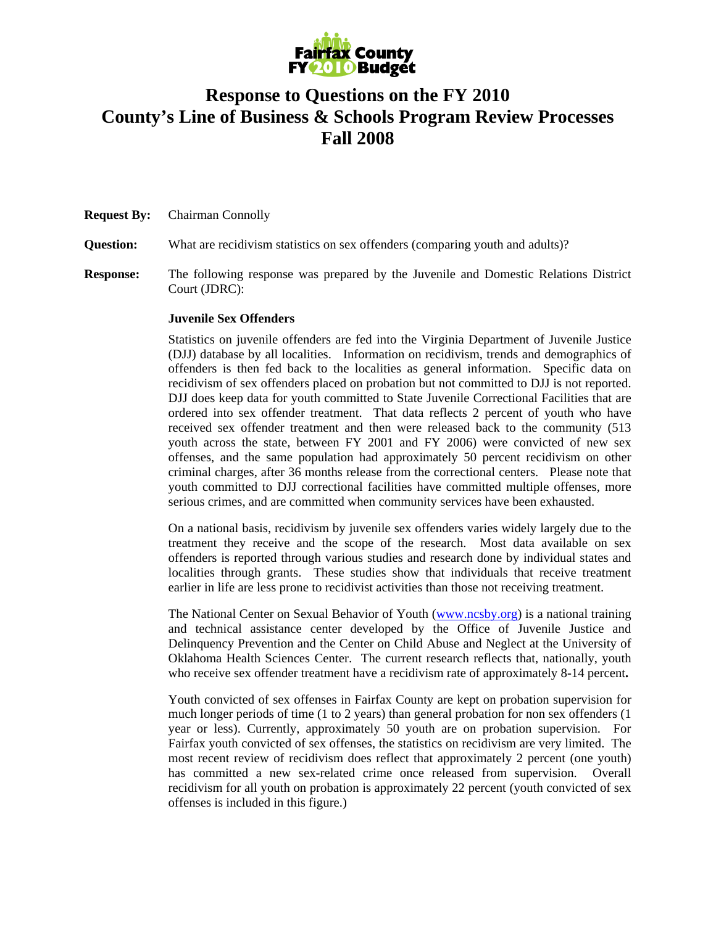

## **Response to Questions on the FY 2010 County's Line of Business & Schools Program Review Processes Fall 2008**

**Request By:** Chairman Connolly

**Question:** What are recidivism statistics on sex offenders (comparing youth and adults)?

**Response:** The following response was prepared by the Juvenile and Domestic Relations District Court (JDRC):

## **Juvenile Sex Offenders**

Statistics on juvenile offenders are fed into the Virginia Department of Juvenile Justice (DJJ) database by all localities. Information on recidivism, trends and demographics of offenders is then fed back to the localities as general information. Specific data on recidivism of sex offenders placed on probation but not committed to DJJ is not reported. DJJ does keep data for youth committed to State Juvenile Correctional Facilities that are ordered into sex offender treatment. That data reflects 2 percent of youth who have received sex offender treatment and then were released back to the community (513 youth across the state, between FY 2001 and FY 2006) were convicted of new sex offenses, and the same population had approximately 50 percent recidivism on other criminal charges, after 36 months release from the correctional centers. Please note that youth committed to DJJ correctional facilities have committed multiple offenses, more serious crimes, and are committed when community services have been exhausted.

On a national basis, recidivism by juvenile sex offenders varies widely largely due to the treatment they receive and the scope of the research. Most data available on sex offenders is reported through various studies and research done by individual states and localities through grants. These studies show that individuals that receive treatment earlier in life are less prone to recidivist activities than those not receiving treatment.

The National Center on Sexual Behavior of Youth (www.ncsby.org) is a national training and technical assistance center developed by the Office of Juvenile Justice and Delinquency Prevention and the Center on Child Abuse and Neglect at the University of Oklahoma Health Sciences Center. The current research reflects that, nationally, youth who receive sex offender treatment have a recidivism rate of approximately 8-14 percent**.**

Youth convicted of sex offenses in Fairfax County are kept on probation supervision for much longer periods of time (1 to 2 years) than general probation for non sex offenders (1 year or less). Currently, approximately 50 youth are on probation supervision. For Fairfax youth convicted of sex offenses, the statistics on recidivism are very limited. The most recent review of recidivism does reflect that approximately 2 percent (one youth) has committed a new sex-related crime once released from supervision. Overall recidivism for all youth on probation is approximately 22 percent (youth convicted of sex offenses is included in this figure.)